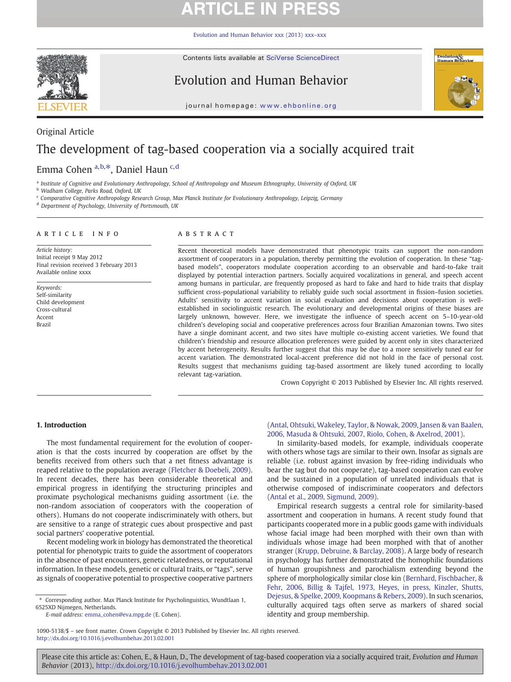# **ARTICLE IN PRESS**

[Evolution and Human Behavior xxx \(2013\) xxx](http://dx.doi.org/10.1016/j.evolhumbehav.2013.02.001)–xxx



Original Article

Contents lists available at SciVerse ScienceDirect

## Evolution and Human Behavior



journal homepage: www.ehbonline.org

# The development of tag-based cooperation via a socially acquired trait

## Emma Cohen <sup>a, b, \*</sup>, Daniel Haun <sup>c, d</sup>

a Institute of Cognitive and Evolutionary Anthropology, School of Anthropology and Museum Ethnography, University of Oxford, UK

<sup>b</sup> Wadham College, Parks Road, Oxford, UK

<sup>c</sup> Comparative Cognitive Anthropology Research Group, Max Planck Institute for Evolutionary Anthropology, Leipzig, Germany

<sup>d</sup> Department of Psychology, University of Portsmouth, UK

### article info abstract

Article history: Initial receipt 9 May 2012 Final revision received 3 February 2013 Available online xxxx

Keywords: Self-similarity Child development Cross-cultural Accent Brazil

Recent theoretical models have demonstrated that phenotypic traits can support the non-random assortment of cooperators in a population, thereby permitting the evolution of cooperation. In these "tagbased models", cooperators modulate cooperation according to an observable and hard-to-fake trait displayed by potential interaction partners. Socially acquired vocalizations in general, and speech accent among humans in particular, are frequently proposed as hard to fake and hard to hide traits that display sufficient cross-populational variability to reliably guide such social assortment in fission–fusion societies. Adults' sensitivity to accent variation in social evaluation and decisions about cooperation is wellestablished in sociolinguistic research. The evolutionary and developmental origins of these biases are largely unknown, however. Here, we investigate the influence of speech accent on 5–10-year-old children's developing social and cooperative preferences across four Brazilian Amazonian towns. Two sites have a single dominant accent, and two sites have multiple co-existing accent varieties. We found that children's friendship and resource allocation preferences were guided by accent only in sites characterized by accent heterogeneity. Results further suggest that this may be due to a more sensitively tuned ear for accent variation. The demonstrated local-accent preference did not hold in the face of personal cost. Results suggest that mechanisms guiding tag-based assortment are likely tuned according to locally relevant tag-variation.

Crown Copyright © 2013 Published by Elsevier Inc. All rights reserved.

### 1. Introduction

The most fundamental requirement for the evolution of cooperation is that the costs incurred by cooperation are offset by the benefits received from others such that a net fitness advantage is reaped relative to the population average [\(Fletcher & Doebeli, 2009](#page-5-0)). In recent decades, there has been considerable theoretical and empirical progress in identifying the structuring principles and proximate psychological mechanisms guiding assortment (i.e. the non-random association of cooperators with the cooperation of others). Humans do not cooperate indiscriminately with others, but are sensitive to a range of strategic cues about prospective and past social partners' cooperative potential.

Recent modeling work in biology has demonstrated the theoretical potential for phenotypic traits to guide the assortment of cooperators in the absence of past encounters, genetic relatedness, or reputational information. In these models, genetic or cultural traits, or "tags", serve as signals of cooperative potential to prospective cooperative partners

E-mail address: [emma\\_cohen@eva.mpg.de](mailto:emma_cohen@eva.mpg.de) (E. Cohen).

### [\(Antal, Ohtsuki, Wakeley, Taylor, & Nowak, 2009, Jansen & van Baalen,](#page-5-0) [2006, Masuda & Ohtsuki, 2007, Riolo, Cohen, & Axelrod, 2001](#page-5-0)).

In similarity-based models, for example, individuals cooperate with others whose tags are similar to their own. Insofar as signals are reliable (i.e. robust against invasion by free-riding individuals who bear the tag but do not cooperate), tag-based cooperation can evolve and be sustained in a population of unrelated individuals that is otherwise composed of indiscriminate cooperators and defectors [\(Antal et al., 2009, Sigmund, 2009\)](#page-5-0).

Empirical research suggests a central role for similarity-based assortment and cooperation in humans. A recent study found that participants cooperated more in a public goods game with individuals whose facial image had been morphed with their own than with individuals whose image had been morphed with that of another stranger [\(Krupp, Debruine, & Barclay, 2008](#page-5-0)). A large body of research in psychology has further demonstrated the homophilic foundations of human groupishness and parochialism extending beyond the sphere of morphologically similar close kin ([Bernhard, Fischbacher, &](#page-5-0) [Fehr, 2006, Billig & Tajfel, 1973, Heyes, in press, Kinzler, Shutts,](#page-5-0) [Dejesus, & Spelke, 2009, Koopmans & Rebers, 2009\)](#page-5-0). In such scenarios, culturally acquired tags often serve as markers of shared social identity and group membership.

1090-5138/\$ – see front matter. Crown Copyright © 2013 Published by Elsevier Inc. All rights reserved. <http://dx.doi.org/10.1016/j.evolhumbehav.2013.02.001>

Please cite this article as: Cohen, E., & Haun, D., The development of tag-based cooperation via a socially acquired trait, Evolution and Human Behavior (2013), <http://dx.doi.org/10.1016/j.evolhumbehav.2013.02.001>

<sup>⁎</sup> Corresponding author. Max Planck Institute for Psycholinguistics, Wundtlaan 1, 6525XD Nijmegen, Netherlands.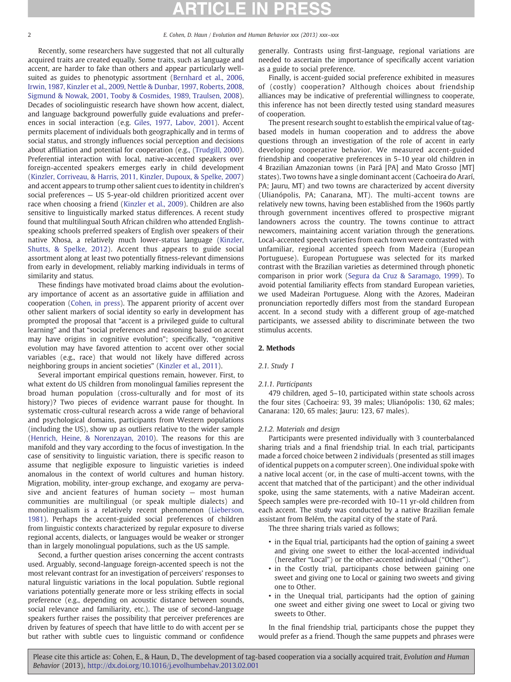Recently, some researchers have suggested that not all culturally acquired traits are created equally. Some traits, such as language and accent, are harder to fake than others and appear particularly wellsuited as guides to phenotypic assortment [\(Bernhard et al., 2006,](#page-5-0) [Irwin, 1987, Kinzler et al., 2009, Nettle & Dunbar, 1997, Roberts, 2008,](#page-5-0) [Sigmund & Nowak, 2001, Tooby & Cosmides, 1989, Traulsen, 2008](#page-5-0)). Decades of sociolinguistic research have shown how accent, dialect, and language background powerfully guide evaluations and preferences in social interaction (e.g. [Giles, 1977, Labov, 2001\)](#page-5-0). Accent permits placement of individuals both geographically and in terms of social status, and strongly influences social perception and decisions about affiliation and potential for cooperation (e.g., [\(Trudgill, 2000](#page-5-0)). Preferential interaction with local, native-accented speakers over foreign-accented speakers emerges early in child development ([Kinzler, Corriveau, & Harris, 2011, Kinzler, Dupoux, & Spelke, 2007](#page-5-0)) and accent appears to trump other salient cues to identity in children's social preferences — US 5-year-old children prioritized accent over race when choosing a friend ([Kinzler et al., 2009](#page-5-0)). Children are also sensitive to linguistically marked status differences. A recent study found that multilingual South African children who attended Englishspeaking schools preferred speakers of English over speakers of their native Xhosa, a relatively much lower-status language ([Kinzler,](#page-5-0) [Shutts, & Spelke, 2012](#page-5-0)). Accent thus appears to guide social assortment along at least two potentially fitness-relevant dimensions from early in development, reliably marking individuals in terms of similarity and status.

These findings have motivated broad claims about the evolutionary importance of accent as an assortative guide in affiliation and cooperation [\(Cohen, in press\)](#page-5-0). The apparent priority of accent over other salient markers of social identity so early in development has prompted the proposal that "accent is a privileged guide to cultural learning" and that "social preferences and reasoning based on accent may have origins in cognitive evolution"; specifically, "cognitive evolution may have favored attention to accent over other social variables (e.g., race) that would not likely have differed across neighboring groups in ancient societies" [\(Kinzler et al., 2011](#page-5-0)).

Several important empirical questions remain, however. First, to what extent do US children from monolingual families represent the broad human population (cross-culturally and for most of its history)? Two pieces of evidence warrant pause for thought. In systematic cross-cultural research across a wide range of behavioral and psychological domains, participants from Western populations (including the US), show up as outliers relative to the wider sample ([Henrich, Heine, & Norenzayan, 2010](#page-5-0)). The reasons for this are manifold and they vary according to the focus of investigation. In the case of sensitivity to linguistic variation, there is specific reason to assume that negligible exposure to linguistic varieties is indeed anomalous in the context of world cultures and human history. Migration, mobility, inter-group exchange, and exogamy are pervasive and ancient features of human society — most human communities are multilingual (or speak multiple dialects) and monolingualism is a relatively recent phenomenon ([Lieberson,](#page-5-0) [1981\)](#page-5-0). Perhaps the accent-guided social preferences of children from linguistic contexts characterized by regular exposure to diverse regional accents, dialects, or languages would be weaker or stronger than in largely monolingual populations, such as the US sample.

Second, a further question arises concerning the accent contrasts used. Arguably, second-language foreign-accented speech is not the most relevant contrast for an investigation of perceivers' responses to natural linguistic variations in the local population. Subtle regional variations potentially generate more or less striking effects in social preference (e.g., depending on acoustic distance between sounds, social relevance and familiarity, etc.). The use of second-language speakers further raises the possibility that perceiver preferences are driven by features of speech that have little to do with accent per se but rather with subtle cues to linguistic command or confidence generally. Contrasts using first-language, regional variations are needed to ascertain the importance of specifically accent variation as a guide to social preference.

Finally, is accent-guided social preference exhibited in measures of (costly) cooperation? Although choices about friendship alliances may be indicative of preferential willingness to cooperate, this inference has not been directly tested using standard measures of cooperation.

The present research sought to establish the empirical value of tagbased models in human cooperation and to address the above questions through an investigation of the role of accent in early developing cooperative behavior. We measured accent-guided friendship and cooperative preferences in 5–10 year old children in 4 Brazilian Amazonian towns (in Pará [PA] and Mato Grosso [MT] states). Two towns have a single dominant accent (Cachoeira do Ararí, PA; Jauru, MT) and two towns are characterized by accent diversity (Ulianópolis, PA; Canarana, MT). The multi-accent towns are relatively new towns, having been established from the 1960s partly through government incentives offered to prospective migrant landowners across the country. The towns continue to attract newcomers, maintaining accent variation through the generations. Local-accented speech varieties from each town were contrasted with unfamiliar, regional accented speech from Madeira (European Portuguese). European Portuguese was selected for its marked contrast with the Brazilian varieties as determined through phonetic comparison in prior work ([Segura da Cruz & Saramago, 1999\)](#page-5-0). To avoid potential familiarity effects from standard European varieties, we used Madeiran Portuguese. Along with the Azores, Madeiran pronunciation reportedly differs most from the standard European accent. In a second study with a different group of age-matched participants, we assessed ability to discriminate between the two stimulus accents.

### 2. Methods

### 2.1. Study 1

### 2.1.1. Participants

479 children, aged 5–10, participated within state schools across the four sites (Cachoeira: 93, 39 males; Ulianópolis: 130, 62 males; Canarana: 120, 65 males; Jauru: 123, 67 males).

### 2.1.2. Materials and design

Participants were presented individually with 3 counterbalanced sharing trials and a final friendship trial. In each trial, participants made a forced choice between 2 individuals (presented as still images of identical puppets on a computer screen). One individual spoke with a native local accent (or, in the case of multi-accent towns, with the accent that matched that of the participant) and the other individual spoke, using the same statements, with a native Madeiran accent. Speech samples were pre-recorded with 10–11 yr-old children from each accent. The study was conducted by a native Brazilian female assistant from Belém, the capital city of the state of Pará.

The three sharing trials varied as follows;

- in the Equal trial, participants had the option of gaining a sweet and giving one sweet to either the local-accented individual (hereafter "Local") or the other-accented individual ("Other").
- in the Costly trial, participants chose between gaining one sweet and giving one to Local or gaining two sweets and giving one to Other.
- in the Unequal trial, participants had the option of gaining one sweet and either giving one sweet to Local or giving two sweets to Other.

In the final friendship trial, participants chose the puppet they would prefer as a friend. Though the same puppets and phrases were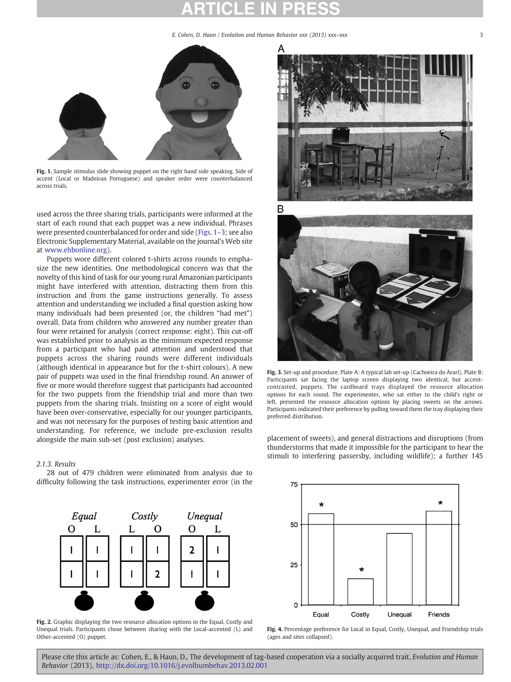E. Cohen, D. Haun / Evolution and Human Behavior xxx (2013) xxx–xxx 3

<span id="page-2-0"></span>

Fig. 1. Sample stimulus slide showing puppet on the right hand side speaking. Side of accent (Local or Madeiran Portuguese) and speaker order were counterbalanced across trials.

used across the three sharing trials, participants were informed at the start of each round that each puppet was a new individual. Phrases were presented counterbalanced for order and side (Figs. 1–3; see also Electronic Supplementary Material, available on the journal's Web site at [www.ehbonline.org](http://www.ehbonline.org)).

Puppets wore different colored t-shirts across rounds to emphasize the new identities. One methodological concern was that the novelty of this kind of task for our young rural Amazonian participants might have interfered with attention, distracting them from this instruction and from the game instructions generally. To assess attention and understanding we included a final question asking how many individuals had been presented (or, the children "had met") overall. Data from children who answered any number greater than four were retained for analysis (correct response: eight). This cut-off was established prior to analysis as the minimum expected response from a participant who had paid attention and understood that puppets across the sharing rounds were different individuals (although identical in appearance but for the t-shirt colours). A new pair of puppets was used in the final friendship round. An answer of five or more would therefore suggest that participants had accounted for the two puppets from the friendship trial and more than two puppets from the sharing trials. Insisting on a score of eight would have been over-conservative, especially for our younger participants, and was not necessary for the purposes of testing basic attention and understanding. For reference, we include pre-exclusion results alongside the main sub-set (post exclusion) analyses.

### 2.1.3. Results

28 out of 479 children were eliminated from analysis due to difficulty following the task instructions, experimenter error (in the









Fig. 3. Set-up and procedure. Plate A: A typical lab set-up (Cachoeira do Ararí). Plate B: Participants sat facing the laptop screen displaying two identical, but accentcontrasted, puppets. The cardboard trays displayed the resource allocation options for each round. The experimenter, who sat either to the child's right or left, presented the resource allocation options by placing sweets on the arrows. Participants indicated their preference by pulling toward them the tray displaying their preferred distribution.

placement of sweets), and general distractions and disruptions (from thunderstorms that made it impossible for the participant to hear the stimuli to interfering passersby, including wildlife); a further 145



Fig. 4. Percentage preference for Local in Equal, Costly, Unequal, and Friendship trials (ages and sites collapsed).

Please cite this article as: Cohen, E., & Haun, D., The development of tag-based cooperation via a socially acquired trait, Evolution and Human Behavior (2013), <http://dx.doi.org/10.1016/j.evolhumbehav.2013.02.001>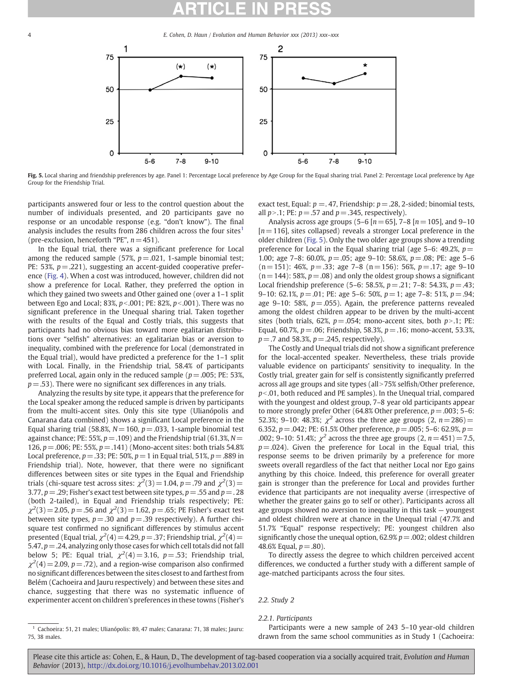4 E. Cohen, D. Haun / Evolution and Human Behavior xxx (2013) xxx–xxx



Fig. 5. Local sharing and friendship preferences by age. Panel 1: Percentage Local preference by Age Group for the Equal sharing trial. Panel 2: Percentage Local preference by Age Group for the Friendship Trial.

participants answered four or less to the control question about the number of individuals presented, and 20 participants gave no response or an uncodable response (e.g. "don't know"). The final analysis includes the results from 286 children across the four sites<sup>1</sup> (pre-exclusion, henceforth "PE",  $n=451$ ).

In the Equal trial, there was a significant preference for Local among the reduced sample (57%,  $p = .021$ , 1-sample binomial test; PE: 53%,  $p = .221$ ), suggesting an accent-guided cooperative preference ([Fig. 4](#page-2-0)). When a cost was introduced, however, children did not show a preference for Local. Rather, they preferred the option in which they gained two sweets and Other gained one (over a 1–1 split between Ego and Local; 83%,  $p<.001$ ; PE: 82%,  $p<.001$ ). There was no significant preference in the Unequal sharing trial. Taken together with the results of the Equal and Costly trials, this suggests that participants had no obvious bias toward more egalitarian distributions over "selfish" alternatives: an egalitarian bias or aversion to inequality, combined with the preference for Local (demonstrated in the Equal trial), would have predicted a preference for the 1–1 split with Local. Finally, in the Friendship trial, 58.4% of participants preferred Local, again only in the reduced sample ( $p = .005$ ; PE: 53%,  $p = .53$ ). There were no significant sex differences in any trials.

Analyzing the results by site type, it appears that the preference for the Local speaker among the reduced sample is driven by participants from the multi-accent sites. Only this site type (Ulianópolis and Canarana data combined) shows a significant Local preference in the Equal sharing trial (58.8%,  $N= 160$ ,  $p=.033$ , 1-sample binomial test against chance; PE: 55%,  $p = .109$ ) and the Friendship trial (61.3%,  $N =$ 126,  $p = .006$ ; PE: 55%,  $p = .141$ ) (Mono-accent sites: both trials 54.8%) Local preference,  $p = .33$ ; PE: 50%,  $p = 1$  in Equal trial, 51%,  $p = .889$  in Friendship trial). Note, however, that there were no significant differences between sites or site types in the Equal and Friendship trials (chi-square test across sites:  $\chi^2(3)$  = 1.04, p = .79 and  $\chi^2(3)$  = 3.77,  $p = 0.29$ ; Fisher's exact test between site types,  $p = 0.55$  and  $p = 0.28$ (both 2-tailed), in Equal and Friendship trials respectively; PE:  $\chi^2(3)$  = 2.05, p = .56 and  $\chi^2(3)$  = 1.62, p = .65; PE Fisher's exact test between site types,  $p = 0.30$  and  $p = 0.39$  respectively). A further chisquare test confirmed no significant differences by stimulus accent presented (Equal trial,  $\chi^2(4)$  = 4.29, p = .37; Friendship trial,  $\chi^2(4)$  = 5.47,  $p = 0.24$ , analyzing only those cases for which cell totals did not fall below 5; PE: Equal trial,  $\chi^2(4)$  = 3.16, p = .53; Friendship trial,  $\chi^2(4)$  = 2.09, p = .72), and a region-wise comparison also confirmed no significant differences between the sites closest to and farthest from Belém (Cachoeira and Jauru respectively) and between these sites and chance, suggesting that there was no systematic influence of experimenter accent on children's preferences in these towns (Fisher's

exact test, Equal:  $p = .47$ , Friendship:  $p = .28$ , 2-sided; binomial tests, all  $p > 0.1$ ; PE:  $p = 0.57$  and  $p = 0.345$ , respectively).

Analysis across age groups (5–6  $[n=65]$ , 7–8  $[n=105]$ , and 9–10  $[n = 116]$ , sites collapsed) reveals a stronger Local preference in the older children (Fig. 5). Only the two older age groups show a trending preference for Local in the Equal sharing trial (age 5–6: 49.2%,  $p=$ 1.00; age 7–8: 60.0%,  $p = .05$ ; age 9–10: 58.6%,  $p = .08$ ; PE: age 5–6  $(n= 151)$ : 46%,  $p = .33$ ; age 7–8  $(n= 156)$ : 56%,  $p = .17$ ; age 9–10  $(n= 144)$ : 58%,  $p = .08$ ) and only the oldest group shows a significant Local friendship preference (5–6: 58.5%,  $p = .21$ ; 7–8: 54.3%,  $p = .43$ ; 9-10: 62.1%,  $p = .01$ ; PE: age 5-6: 50%,  $p = 1$ ; age 7-8: 51%,  $p = .94$ ; age 9-10: 58%,  $p = .055$ ). Again, the preference patterns revealed among the oldest children appear to be driven by the multi-accent sites (both trials, 62%,  $p = .054$ ; mono-accent sites, both  $p > .1$ ; PE: Equal, 60.7%,  $p = .06$ ; Friendship, 58.3%,  $p = .16$ ; mono-accent, 53.3%,  $p = .7$  and 58.3%,  $p = .245$ , respectively).

The Costly and Unequal trials did not show a significant preference for the local-accented speaker. Nevertheless, these trials provide valuable evidence on participants' sensitivity to inequality. In the Costly trial, greater gain for self is consistently significantly preferred across all age groups and site types (all>75% selfish/Other preference,  $p<0.01$ , both reduced and PE samples). In the Unequal trial, compared with the youngest and oldest group, 7–8 year old participants appear to more strongly prefer Other (64.8% Other preference,  $p = .003$ ; 5-6: 52.3%; 9–10: 48.3%;  $\chi^2$  across the three age groups (2,  $n=286$ ) = 6.352,  $p = .042$ ; PE: 61.5% Other preference,  $p = .005$ ; 5–6: 62.9%,  $p =$ .002; 9–10: 51.4%;  $\chi^2$  across the three age groups (2, n = 451) = 7.5,  $p = .024$ ). Given the preference for Local in the Equal trial, this response seems to be driven primarily by a preference for more sweets overall regardless of the fact that neither Local nor Ego gains anything by this choice. Indeed, this preference for overall greater gain is stronger than the preference for Local and provides further evidence that participants are not inequality averse (irrespective of whether the greater gains go to self or other). Participants across all age groups showed no aversion to inequality in this task — youngest and oldest children were at chance in the Unequal trial (47.7% and 51.7% "Equal" response respectively; PE: youngest children also significantly chose the unequal option,  $62.9\%$   $p = .002$ ; oldest children 48.6% Equal,  $p = .80$ ).

To directly assess the degree to which children perceived accent differences, we conducted a further study with a different sample of age-matched participants across the four sites.

### 2.2. Study 2

### 2.2.1. Participants

 $1$  Cachoeira: 51, 21 males; Ulianópolis: 89, 47 males; Canarana: 71, 38 males; Jauru: 75, 38 males.

Participants were a new sample of 243 5–10 year-old children drawn from the same school communities as in Study 1 (Cachoeira: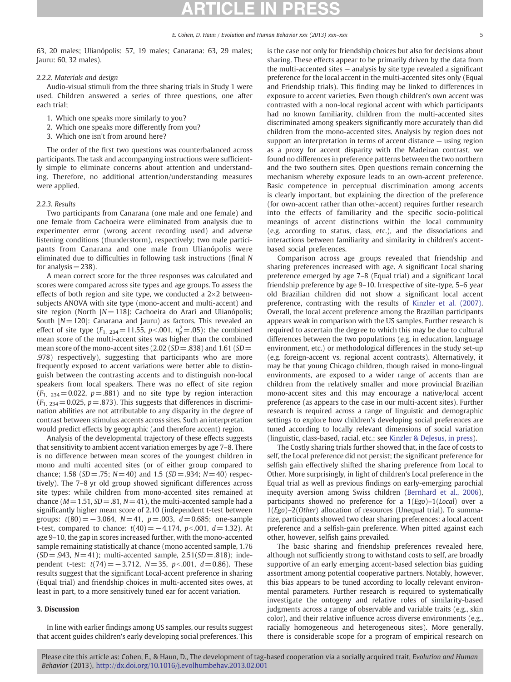63, 20 males; Ulianópolis: 57, 19 males; Canarana: 63, 29 males; Jauru: 60, 32 males).

### 2.2.2. Materials and design

Audio-visual stimuli from the three sharing trials in Study 1 were used. Children answered a series of three questions, one after each trial;

- 1. Which one speaks more similarly to you?
- 2. Which one speaks more differently from you?
- 3. Which one isn't from around here?

The order of the first two questions was counterbalanced across participants. The task and accompanying instructions were sufficiently simple to eliminate concerns about attention and understanding. Therefore, no additional attention/understanding measures were applied.

### 2.2.3. Results

Two participants from Canarana (one male and one female) and one female from Cachoeira were eliminated from analysis due to experimenter error (wrong accent recording used) and adverse listening conditions (thunderstorm), respectively; two male participants from Canarana and one male from Ulianópolis were eliminated due to difficulties in following task instructions (final N for analysis  $=$  238).

A mean correct score for the three responses was calculated and scores were compared across site types and age groups. To assess the effects of both region and site type, we conducted a  $2\times 2$  betweensubjects ANOVA with site type (mono-accent and multi-accent) and site region (North  $[N=118]$ : Cachoeira do Ararí and Ulianópolis; South  $[N = 120]$ : Canarana and Jauru) as factors. This revealed an effect of site type ( $F_{1, 234} = 11.55$ ,  $p < .001$ ,  $n_p^2 = .05$ ): the combined mean score of the multi-accent sites was higher than the combined mean score of the mono-accent sites  $(2.02)(SD = .838)$  and  $1.61(SD = .838)$ .978) respectively), suggesting that participants who are more frequently exposed to accent variations were better able to distinguish between the contrasting accents and to distinguish non-local speakers from local speakers. There was no effect of site region  $(F_{1, 234}=0.022, p=.881)$  and no site type by region interaction  $(F<sub>1, 234</sub> = 0.025, p = .873)$ . This suggests that differences in discrimination abilities are not attributable to any disparity in the degree of contrast between stimulus accents across sites. Such an interpretation would predict effects by geographic (and therefore accent) region.

Analysis of the developmental trajectory of these effects suggests that sensitivity to ambient accent variation emerges by age 7–8. There is no difference between mean scores of the youngest children in mono and multi accented sites (or of either group compared to chance; 1.58 ( $SD = .75$ ;  $N = 40$ ) and 1.5 ( $SD = .934$ ;  $N = 40$ ) respectively). The 7–8 yr old group showed significant differences across site types: while children from mono-accented sites remained at chance ( $M = 1.51$ ,  $SD = .81$ ,  $N = 41$ ), the multi-accented sample had a significantly higher mean score of 2.10 (independent t-test between groups:  $t(80) = -3.064$ ,  $N=41$ ,  $p=.003$ ,  $d=0.685$ ; one-sample t-test, compared to chance:  $t(40) = -4.174$ ,  $p < .001$ ,  $d = 1.32$ ). At age 9–10, the gap in scores increased further, with the mono-accented sample remaining statistically at chance (mono accented sample, 1.76  $(SD = .943, N = 41)$ ; multi-accented sample,  $2.51(SD = .818)$ ; independent t-test:  $t(74) = -3.712$ ,  $N = 35$ ,  $p < .001$ ,  $d = 0.86$ ). These results suggest that the significant Local-accent preference in sharing (Equal trial) and friendship choices in multi-accented sites owes, at least in part, to a more sensitively tuned ear for accent variation.

### 3. Discussion

In line with earlier findings among US samples, our results suggest that accent guides children's early developing social preferences. This is the case not only for friendship choices but also for decisions about sharing. These effects appear to be primarily driven by the data from the multi-accented sites — analysis by site type revealed a significant preference for the local accent in the multi-accented sites only (Equal and Friendship trials). This finding may be linked to differences in exposure to accent varieties. Even though children's own accent was contrasted with a non-local regional accent with which participants had no known familiarity, children from the multi-accented sites discriminated among speakers significantly more accurately than did children from the mono-accented sites. Analysis by region does not support an interpretation in terms of accent distance — using region as a proxy for accent disparity with the Madeiran contrast, we found no differences in preference patterns between the two northern and the two southern sites. Open questions remain concerning the mechanism whereby exposure leads to an own-accent preference. Basic competence in perceptual discrimination among accents is clearly important, but explaining the direction of the preference (for own-accent rather than other-accent) requires further research into the effects of familiarity and the specific socio-political meanings of accent distinctions within the local community (e.g. according to status, class, etc.), and the dissociations and interactions between familiarity and similarity in children's accentbased social preferences.

Comparison across age groups revealed that friendship and sharing preferences increased with age. A significant Local sharing preference emerged by age 7–8 (Equal trial) and a significant Local friendship preference by age 9–10. Irrespective of site-type, 5–6 year old Brazilian children did not show a significant local accent preference, contrasting with the results of [Kinzler et al. \(2007\).](#page-5-0) Overall, the local accent preference among the Brazilian participants appears weak in comparison with the US samples. Further research is required to ascertain the degree to which this may be due to cultural differences between the two populations (e.g. in education, language environment, etc.) or methodological differences in the study set-up (e.g. foreign-accent vs. regional accent contrasts). Alternatively, it may be that young Chicago children, though raised in mono-lingual environments, are exposed to a wider range of accents than are children from the relatively smaller and more provincial Brazilian mono-accent sites and this may encourage a native/local accent preference (as appears to the case in our multi-accent sites). Further research is required across a range of linguistic and demographic settings to explore how children's developing social preferences are tuned according to locally relevant dimensions of social variation (linguistic, class-based, racial, etc.; see [Kinzler & DeJesus, in press\)](#page-5-0).

The Costly sharing trials further showed that, in the face of costs to self, the Local preference did not persist; the significant preference for selfish gain effectively shifted the sharing preference from Local to Other. More surprisingly, in light of children's Local preference in the Equal trial as well as previous findings on early-emerging parochial inequity aversion among Swiss children [\(Bernhard et al., 2006](#page-5-0)), participants showed no preference for a 1(*Ego*)–1(*Local*) over a 1(Ego)–2(Other) allocation of resources (Unequal trial). To summarize, participants showed two clear sharing preferences: a local accent preference and a selfish-gain preference. When pitted against each other, however, selfish gains prevailed.

The basic sharing and friendship preferences revealed here, although not sufficiently strong to withstand costs to self, are broadly supportive of an early emerging accent-based selection bias guiding assortment among potential cooperative partners. Notably, however, this bias appears to be tuned according to locally relevant environmental parameters. Further research is required to systematically investigate the ontogeny and relative roles of similarity-based judgments across a range of observable and variable traits (e.g., skin color), and their relative influence across diverse environments (e.g., racially homogeneous and heterogeneous sites). More generally, there is considerable scope for a program of empirical research on